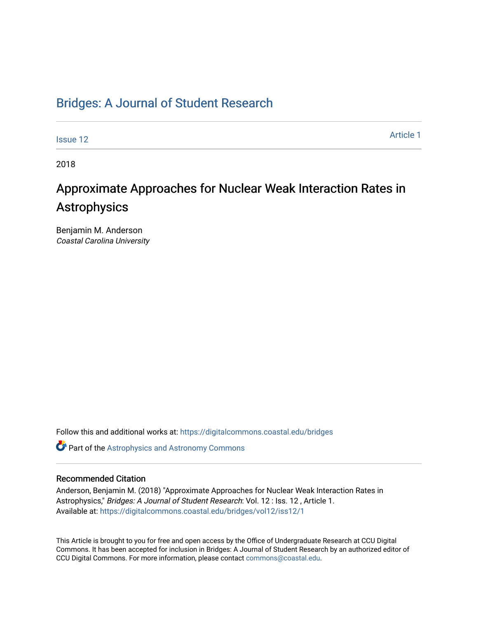# [Bridges: A Journal of Student Research](https://digitalcommons.coastal.edu/bridges)

[Issue 12](https://digitalcommons.coastal.edu/bridges/vol12/iss12) Article 1

2018

# Approximate Approaches for Nuclear Weak Interaction Rates in Astrophysics

Benjamin M. Anderson Coastal Carolina University

Follow this and additional works at: [https://digitalcommons.coastal.edu/bridges](https://digitalcommons.coastal.edu/bridges?utm_source=digitalcommons.coastal.edu%2Fbridges%2Fvol12%2Fiss12%2F1&utm_medium=PDF&utm_campaign=PDFCoverPages) 

**C** Part of the Astrophysics and Astronomy Commons

# Recommended Citation

Anderson, Benjamin M. (2018) "Approximate Approaches for Nuclear Weak Interaction Rates in Astrophysics," Bridges: A Journal of Student Research: Vol. 12 : Iss. 12, Article 1. Available at: [https://digitalcommons.coastal.edu/bridges/vol12/iss12/1](https://digitalcommons.coastal.edu/bridges/vol12/iss12/1?utm_source=digitalcommons.coastal.edu%2Fbridges%2Fvol12%2Fiss12%2F1&utm_medium=PDF&utm_campaign=PDFCoverPages)

This Article is brought to you for free and open access by the Office of Undergraduate Research at CCU Digital Commons. It has been accepted for inclusion in Bridges: A Journal of Student Research by an authorized editor of CCU Digital Commons. For more information, please contact [commons@coastal.edu](mailto:commons@coastal.edu).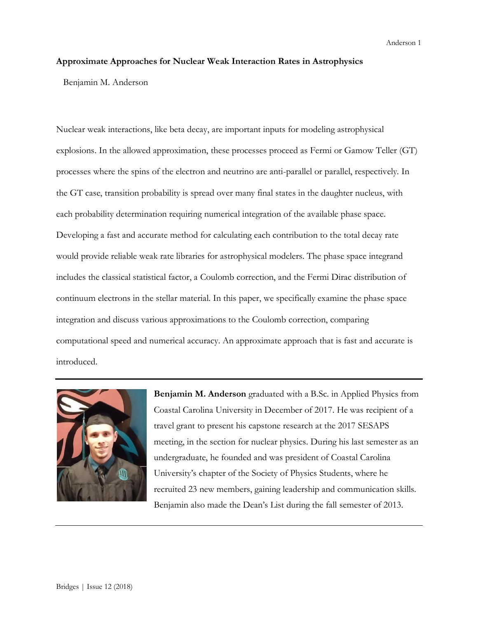#### **Approximate Approaches for Nuclear Weak Interaction Rates in Astrophysics**

Benjamin M. Anderson

Nuclear weak interactions, like beta decay, are important inputs for modeling astrophysical explosions. In the allowed approximation, these processes proceed as Fermi or Gamow Teller (GT) processes where the spins of the electron and neutrino are anti-parallel or parallel, respectively. In the GT case, transition probability is spread over many final states in the daughter nucleus, with each probability determination requiring numerical integration of the available phase space. Developing a fast and accurate method for calculating each contribution to the total decay rate would provide reliable weak rate libraries for astrophysical modelers. The phase space integrand includes the classical statistical factor, a Coulomb correction, and the Fermi Dirac distribution of continuum electrons in the stellar material. In this paper, we specifically examine the phase space integration and discuss various approximations to the Coulomb correction, comparing computational speed and numerical accuracy. An approximate approach that is fast and accurate is introduced.



**Benjamin M. Anderson** graduated with a B.Sc. in Applied Physics from Coastal Carolina University in December of 2017. He was recipient of a travel grant to present his capstone research at the 2017 SESAPS meeting, in the section for nuclear physics. During his last semester as an undergraduate, he founded and was president of Coastal Carolina University's chapter of the Society of Physics Students, where he recruited 23 new members, gaining leadership and communication skills. Benjamin also made the Dean's List during the fall semester of 2013.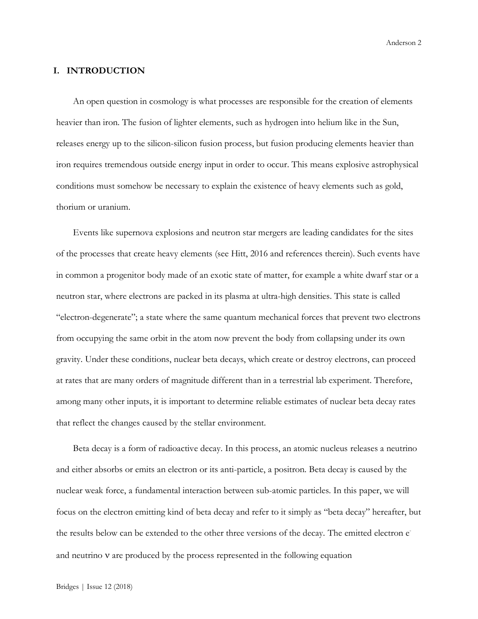# **I. INTRODUCTION**

An open question in cosmology is what processes are responsible for the creation of elements heavier than iron. The fusion of lighter elements, such as hydrogen into helium like in the Sun, releases energy up to the silicon-silicon fusion process, but fusion producing elements heavier than iron requires tremendous outside energy input in order to occur. This means explosive astrophysical conditions must somehow be necessary to explain the existence of heavy elements such as gold, thorium or uranium.

Events like supernova explosions and neutron star mergers are leading candidates for the sites of the processes that create heavy elements (see Hitt, 2016 and references therein). Such events have in common a progenitor body made of an exotic state of matter, for example a white dwarf star or a neutron star, where electrons are packed in its plasma at ultra-high densities. This state is called "electron-degenerate"; a state where the same quantum mechanical forces that prevent two electrons from occupying the same orbit in the atom now prevent the body from collapsing under its own gravity. Under these conditions, nuclear beta decays, which create or destroy electrons, can proceed at rates that are many orders of magnitude different than in a terrestrial lab experiment. Therefore, among many other inputs, it is important to determine reliable estimates of nuclear beta decay rates that reflect the changes caused by the stellar environment.

Beta decay is a form of radioactive decay. In this process, an atomic nucleus releases a neutrino and either absorbs or emits an electron or its anti-particle, a positron. Beta decay is caused by the nuclear weak force, a fundamental interaction between sub-atomic particles. In this paper, we will focus on the electron emitting kind of beta decay and refer to it simply as "beta decay" hereafter, but the results below can be extended to the other three versions of the decay. The emitted electron e and neutrino  $\nu$  are produced by the process represented in the following equation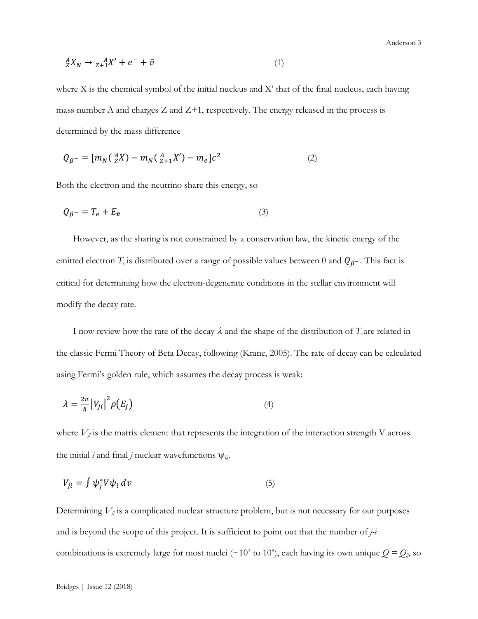${}_{Z}^{A}X_{N} \rightarrow {}_{Z+1}^{A}X' + e^{-} + \bar{\nu}$  (1)

where X is the chemical symbol of the initial nucleus and X' that of the final nucleus, each having mass number A and charges Z and Z+1, respectively. The energy released in the process is determined by the mass difference

$$
Q_{\beta^{-}} = [m_N(\,^A_Z X) - m_N(\,^A_{Z+1} X') - m_e]c^2 \tag{2}
$$

Both the electron and the neutrino share this energy, so

$$
Q_{\beta^-} = T_e + E_{\bar{v}} \tag{3}
$$

However, as the sharing is not constrained by a conservation law, the kinetic energy of the emitted electron  $T_e$  is distributed over a range of possible values between 0 and  $Q_{\beta}$ -. This fact is critical for determining how the electron-degenerate conditions in the stellar environment will modify the decay rate.

I now review how the rate of the decay  $\lambda$  and the shape of the distribution of  $T_e$  are related in the classic Fermi Theory of Beta Decay, following (Krane, 2005). The rate of decay can be calculated using Fermi's golden rule, which assumes the decay process is weak:

$$
\lambda = \frac{2\pi}{\hbar} |V_{ji}|^2 \rho(E_j)
$$
\n(4)

where  $V_{ji}$  is the matrix element that represents the integration of the interaction strength V across the initial *i* and final *j* nuclear wavefunctions  $\psi_{i,j}$ .

$$
V_{ji} = \int \psi_i^* V \psi_i \, dv \tag{5}
$$

Determining  $V_{ji}$  is a complicated nuclear structure problem, but is not necessary for our purposes and is beyond the scope of this project. It is sufficient to point out that the number of *j-i* combinations is extremely large for most nuclei ( $\sim$ 10<sup>4</sup> to 10<sup>8</sup>), each having its own unique  $Q = Q_{ij}$ , so

Anderson 3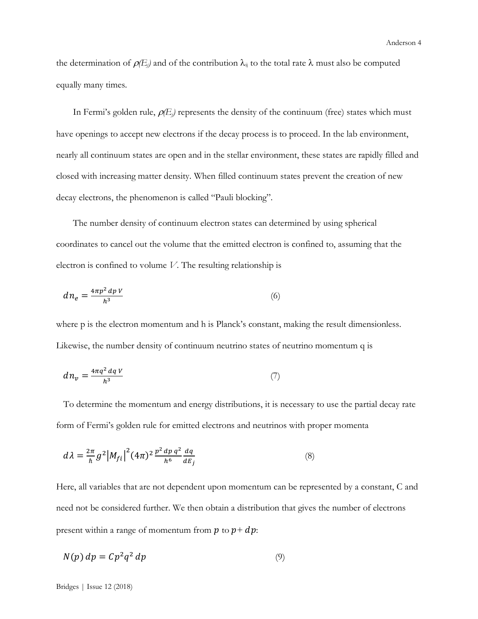the determination of  $\rho(E_j)$  and of the contribution  $\lambda_{ij}$  to the total rate  $\lambda$  must also be computed equally many times.

In Fermi's golden rule,  $\rho(E_i)$  represents the density of the continuum (free) states which must have openings to accept new electrons if the decay process is to proceed. In the lab environment, nearly all continuum states are open and in the stellar environment, these states are rapidly filled and closed with increasing matter density. When filled continuum states prevent the creation of new decay electrons, the phenomenon is called "Pauli blocking".

The number density of continuum electron states can determined by using spherical coordinates to cancel out the volume that the emitted electron is confined to, assuming that the electron is confined to volume *V*. The resulting relationship is

$$
dn_e = \frac{4\pi p^2 \, dp \, V}{h^3} \tag{6}
$$

where p is the electron momentum and h is Planck's constant, making the result dimensionless. Likewise, the number density of continuum neutrino states of neutrino momentum q is

$$
dn_{\nu} = \frac{4\pi q^2 \, dq \, V}{h^3} \tag{7}
$$

To determine the momentum and energy distributions, it is necessary to use the partial decay rate form of Fermi's golden rule for emitted electrons and neutrinos with proper momenta

$$
d\lambda = \frac{2\pi}{\hbar} g^2 |M_{fi}|^2 (4\pi)^2 \frac{p^2 \, dp \, q^2}{h^6} \frac{dq}{dE_f}
$$
 (8)

Here, all variables that are not dependent upon momentum can be represented by a constant, C and need not be considered further. We then obtain a distribution that gives the number of electrons present within a range of momentum from  $p$  to  $p + dp$ :

$$
N(p) dp = Cp^2q^2 dp \tag{9}
$$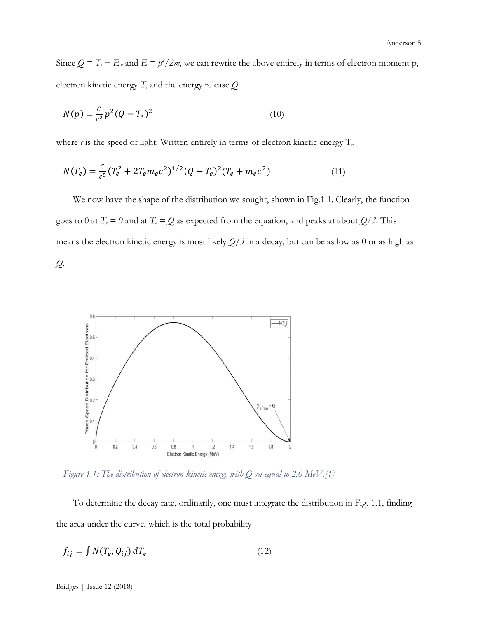Since  $Q = T_e + E_v$  and  $E = p^2/2m$ , we can rewrite the above entirely in terms of electron moment p, electron kinetic energy *T<sup>e</sup>* and the energy release *Q*.

$$
N(p) = \frac{c}{c^2} p^2 (Q - T_e)^2
$$
\n(10)

where  $c$  is the speed of light. Written entirely in terms of electron kinetic energy  $T_e$ 

$$
N(T_e) = \frac{c}{c^5} (T_e^2 + 2T_e m_e c^2)^{1/2} (Q - T_e)^2 (T_e + m_e c^2)
$$
 (11)

We now have the shape of the distribution we sought, shown in Fig.1.1. Clearly, the function goes to 0 at  $T_e = 0$  and at  $T_e = Q$  as expected from the equation, and peaks at about  $Q/3$ . This means the electron kinetic energy is most likely *Q/3* in a decay, but can be as low as 0 or as high as

*Q*.



*Figure 1.1: The distribution of electron kinetic energy with Q set equal to 2.0 MeV.[1]*

To determine the decay rate, ordinarily, one must integrate the distribution in Fig. 1.1, finding the area under the curve, which is the total probability

$$
f_{ij} = \int N(T_e, Q_{ij}) dT_e
$$
 (12)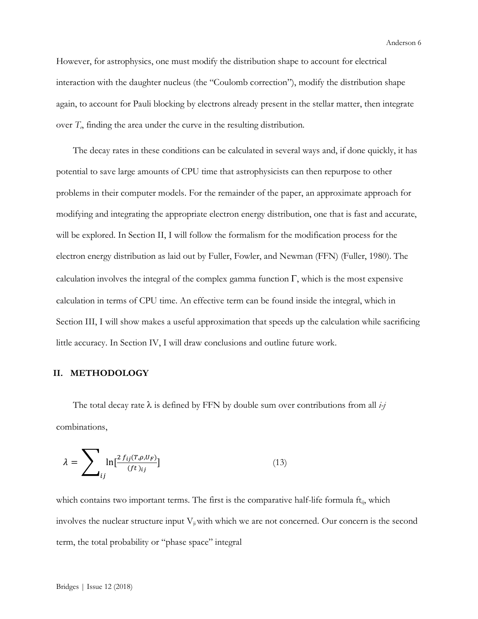However, for astrophysics, one must modify the distribution shape to account for electrical interaction with the daughter nucleus (the "Coulomb correction"), modify the distribution shape again, to account for Pauli blocking by electrons already present in the stellar matter, then integrate over *T<sup>e</sup>* , finding the area under the curve in the resulting distribution.

The decay rates in these conditions can be calculated in several ways and, if done quickly, it has potential to save large amounts of CPU time that astrophysicists can then repurpose to other problems in their computer models. For the remainder of the paper, an approximate approach for modifying and integrating the appropriate electron energy distribution, one that is fast and accurate, will be explored. In Section II, I will follow the formalism for the modification process for the electron energy distribution as laid out by Fuller, Fowler, and Newman (FFN) (Fuller, 1980). The calculation involves the integral of the complex gamma function  $\Gamma$ , which is the most expensive calculation in terms of CPU time. An effective term can be found inside the integral, which in Section III, I will show makes a useful approximation that speeds up the calculation while sacrificing little accuracy. In Section IV, I will draw conclusions and outline future work.

#### **II. METHODOLOGY**

The total decay rate  $\lambda$  is defined by FFN by double sum over contributions from all  $i-j$ combinations,

$$
\lambda = \sum_{ij} \ln[\frac{2 f_{ij}(T,\rho,U_F)}{(ft)_{ij}}]
$$
\n(13)

which contains two important terms. The first is the comparative half-life formula ft<sub>ij</sub>, which involves the nuclear structure input  $V_{ii}$  with which we are not concerned. Our concern is the second term, the total probability or "phase space" integral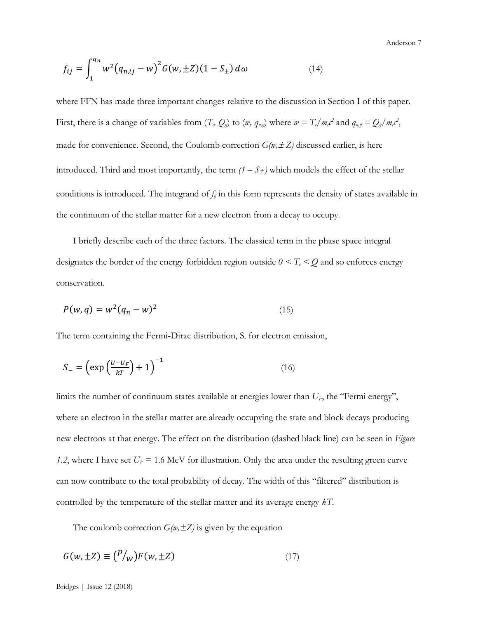$$
f_{ij} = \int_{1}^{q_n} w^2 (q_{n,ij} - w)^2 G(w, \pm Z)(1 - S_{\pm}) d\omega
$$
 (14)

where FFN has made three important changes relative to the discussion in Section I of this paper. First, there is a change of variables from  $(T_o Q_{ij})$  to  $(w, q_{n,ij})$  where  $w = T_e/m_e c^2$  and  $q_{n,ij} = Q_{ij}/m_e c^2$ , made for convenience. Second, the Coulomb correction  $G(w, \pm Z)$  discussed earlier, is here introduced. Third and most importantly, the term  $(1 - S_{\pm})$  which models the effect of the stellar conditions is introduced. The integrand of  $f_{ii}$  in this form represents the density of states available in the continuum of the stellar matter for a new electron from a decay to occupy.

I briefly describe each of the three factors. The classical term in the phase space integral designates the border of the energy forbidden region outside  $0 < T_e < Q$  and so enforces energy conservation.

$$
P(w, q) = w^2 (q_n - w)^2
$$
 (15)

The term containing the Fermi-Dirac distribution, S<sub>rip</sub> for electron emission,

$$
S_{-} = \left(\exp\left(\frac{U - U_F}{kT}\right) + 1\right)^{-1} \tag{16}
$$

limits the number of continuum states available at energies lower than *UF*, the "Fermi energy", where an electron in the stellar matter are already occupying the state and block decays producing new electrons at that energy. The effect on the distribution (dashed black line) can be seen in *Figure 1.2*, where I have set  $U_F = 1.6 \text{ MeV}$  for illustration. Only the area under the resulting green curve can now contribute to the total probability of decay. The width of this "filtered" distribution is controlled by the temperature of the stellar matter and its average energy *kT*.

The coulomb correction  $G(w, \pm Z)$  is given by the equation

$$
G(w, \pm Z) \equiv {p/w \choose w} F(w, \pm Z)
$$
\n(17)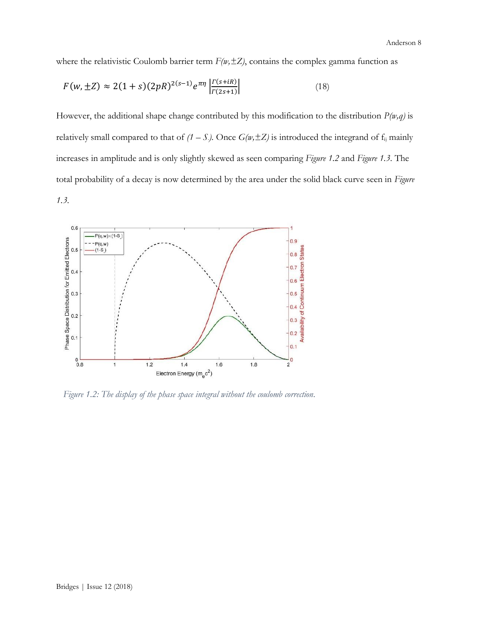where the relativistic Coulomb barrier term  $F(w, \pm Z)$ , contains the complex gamma function as

$$
F(w, \pm Z) \approx 2(1+s)(2pR)^{2(s-1)}e^{\pi\eta} \left| \frac{r(s+iR)}{r(s+iR)} \right| \tag{18}
$$

However, the additional shape change contributed by this modification to the distribution *P(w,q)* is relatively small compared to that of  $(1 - S)$ . Once  $G(w, \pm Z)$  is introduced the integrand of  $f_{ij}$  mainly increases in amplitude and is only slightly skewed as seen comparing *Figure 1.2* and *Figure 1.3*. The total probability of a decay is now determined by the area under the solid black curve seen in *Figure 1.3*.



*Figure 1.2: The display of the phase space integral without the coulomb correction.*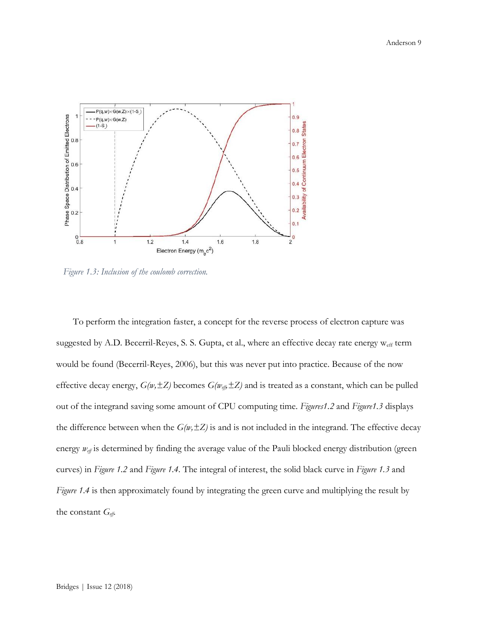

*Figure 1.3: Inclusion of the coulomb correction.*

To perform the integration faster, a concept for the reverse process of electron capture was suggested by A.D. Becerril-Reyes, S. S. Gupta, et al., where an effective decay rate energy weff term would be found (Becerril-Reyes, 2006), but this was never put into practice. Because of the now effective decay energy,  $G(w, \pm Z)$  becomes  $G(w_{\text{eff}} \pm Z)$  and is treated as a constant, which can be pulled out of the integrand saving some amount of CPU computing time. *Figures1.2* and *Figure1.3* displays the difference between when the  $G(w, \pm Z)$  is and is not included in the integrand. The effective decay energy  $w_{\text{eff}}$  is determined by finding the average value of the Pauli blocked energy distribution (green curves) in *Figure 1.2* and *Figure 1.4*. The integral of interest, the solid black curve in *Figure 1.3* and *Figure* 1.4 is then approximately found by integrating the green curve and multiplying the result by the constant *Geff*.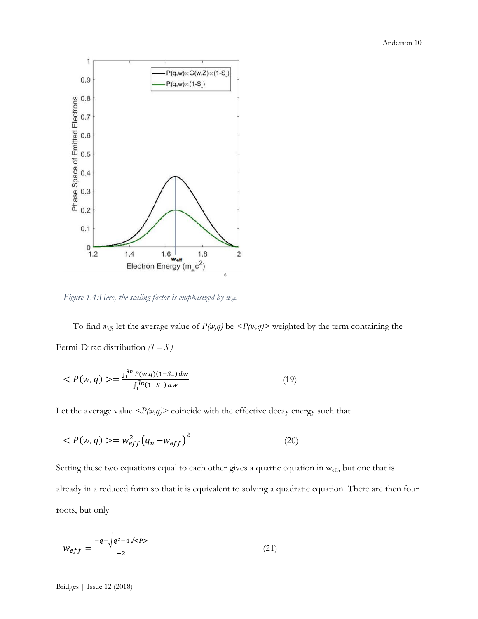

*Figure 1.4:Here, the scaling factor is emphasized by weff.*

To find  $w_{\text{eff}}$ , let the average value of  $P(w,q)$  be  $\langle P(w,q) \rangle$  weighted by the term containing the Fermi-Dirac distribution *(1 – S-)*

$$
\langle P(w,q) \rangle = \frac{\int_{1}^{q_n} P(w,q)(1-S_{-}) dw}{\int_{1}^{q_n} (1-S_{-}) dw} \tag{19}
$$

Let the average value  $\langle P(w,q) \rangle$  coincide with the effective decay energy such that

$$
\langle P(w,q) \rangle = w_{eff}^2 \left( q_n - w_{eff} \right)^2 \tag{20}
$$

Setting these two equations equal to each other gives a quartic equation in weff, but one that is already in a reduced form so that it is equivalent to solving a quadratic equation. There are then four roots, but only

$$
w_{eff} = \frac{-q - \sqrt{q^2 - 4\sqrt{\langle P \rangle}}}{-2} \tag{21}
$$

Bridges | Issue 12 (2018)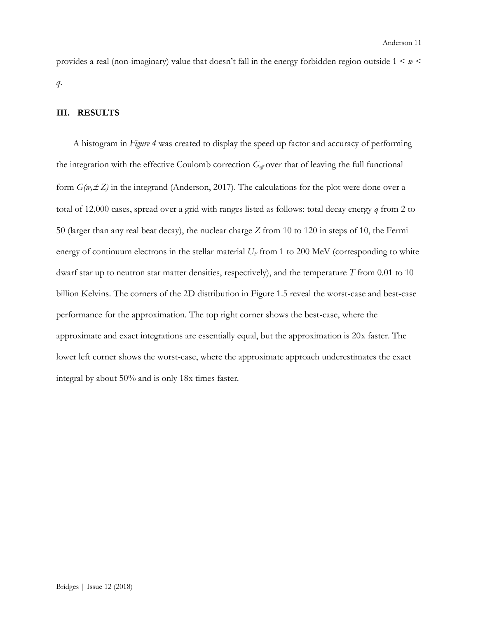provides a real (non-imaginary) value that doesn't fall in the energy forbidden region outside 1 < *w* < *q*.

#### **III. RESULTS**

A histogram in *Figure 4* was created to display the speed up factor and accuracy of performing the integration with the effective Coulomb correction  $G_{\text{eff}}$  over that of leaving the full functional form  $G(w, \pm Z)$  in the integrand (Anderson, 2017). The calculations for the plot were done over a total of 12,000 cases, spread over a grid with ranges listed as follows: total decay energy *q* from 2 to 50 (larger than any real beat decay), the nuclear charge *Z* from 10 to 120 in steps of 10, the Fermi energy of continuum electrons in the stellar material  $U_F$  from 1 to 200 MeV (corresponding to white dwarf star up to neutron star matter densities, respectively), and the temperature *T* from 0.01 to 10 billion Kelvins. The corners of the 2D distribution in Figure 1.5 reveal the worst-case and best-case performance for the approximation. The top right corner shows the best-case, where the approximate and exact integrations are essentially equal, but the approximation is 20x faster. The lower left corner shows the worst-case, where the approximate approach underestimates the exact integral by about 50% and is only 18x times faster.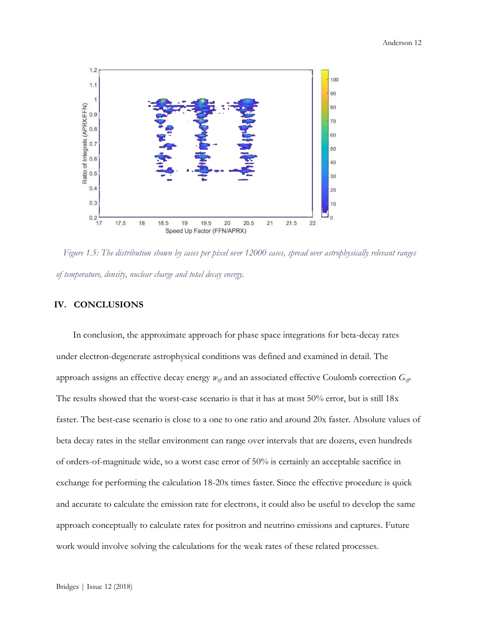

*Figure 1.5: The distribution shown by cases per pixel over 12000 cases, spread over astrophysically relevant ranges of temperature, density, nuclear charge and total decay energy.*

## **IV. CONCLUSIONS**

In conclusion, the approximate approach for phase space integrations for beta-decay rates under electron-degenerate astrophysical conditions was defined and examined in detail. The approach assigns an effective decay energy *weff* and an associated effective Coulomb correction *Geff*. The results showed that the worst-case scenario is that it has at most 50% error, but is still 18x faster. The best-case scenario is close to a one to one ratio and around 20x faster. Absolute values of beta decay rates in the stellar environment can range over intervals that are dozens, even hundreds of orders-of-magnitude wide, so a worst case error of 50% is certainly an acceptable sacrifice in exchange for performing the calculation 18-20x times faster. Since the effective procedure is quick and accurate to calculate the emission rate for electrons, it could also be useful to develop the same approach conceptually to calculate rates for positron and neutrino emissions and captures. Future work would involve solving the calculations for the weak rates of these related processes.